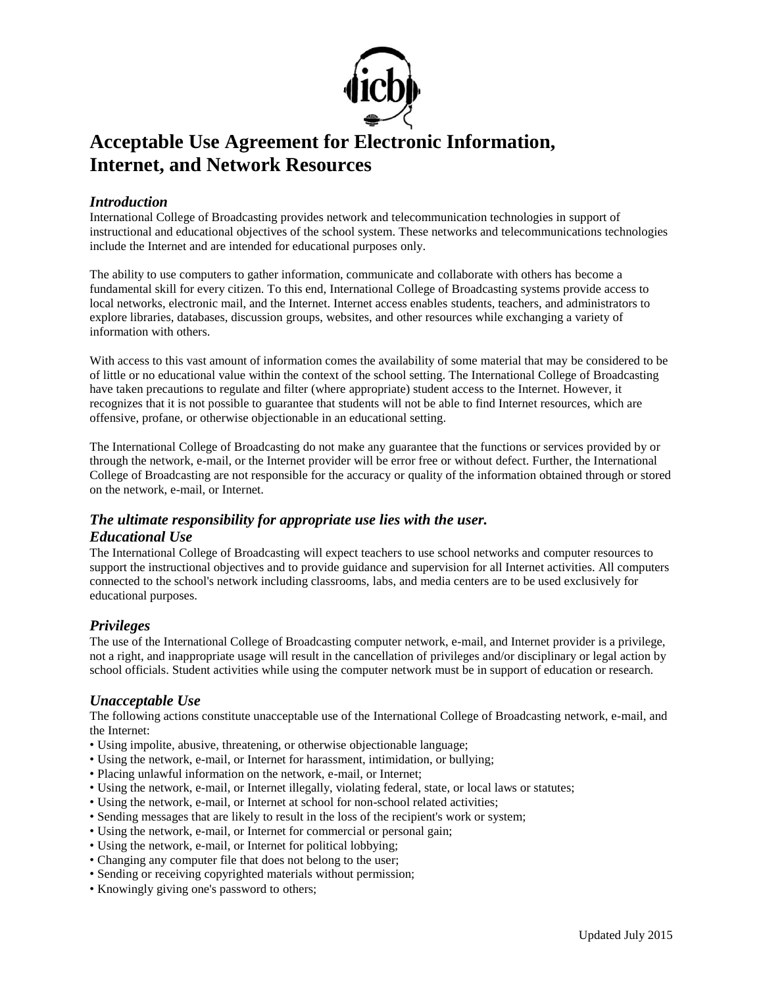

# **Acceptable Use Agreement for Electronic Information, Internet, and Network Resources**

#### *Introduction*

International College of Broadcasting provides network and telecommunication technologies in support of instructional and educational objectives of the school system. These networks and telecommunications technologies include the Internet and are intended for educational purposes only.

The ability to use computers to gather information, communicate and collaborate with others has become a fundamental skill for every citizen. To this end, International College of Broadcasting systems provide access to local networks, electronic mail, and the Internet. Internet access enables students, teachers, and administrators to explore libraries, databases, discussion groups, websites, and other resources while exchanging a variety of information with others.

With access to this vast amount of information comes the availability of some material that may be considered to be of little or no educational value within the context of the school setting. The International College of Broadcasting have taken precautions to regulate and filter (where appropriate) student access to the Internet. However, it recognizes that it is not possible to guarantee that students will not be able to find Internet resources, which are offensive, profane, or otherwise objectionable in an educational setting.

The International College of Broadcasting do not make any guarantee that the functions or services provided by or through the network, e-mail, or the Internet provider will be error free or without defect. Further, the International College of Broadcasting are not responsible for the accuracy or quality of the information obtained through or stored on the network, e-mail, or Internet.

## *The ultimate responsibility for appropriate use lies with the user. Educational Use*

The International College of Broadcasting will expect teachers to use school networks and computer resources to support the instructional objectives and to provide guidance and supervision for all Internet activities. All computers connected to the school's network including classrooms, labs, and media centers are to be used exclusively for educational purposes.

## *Privileges*

The use of the International College of Broadcasting computer network, e-mail, and Internet provider is a privilege, not a right, and inappropriate usage will result in the cancellation of privileges and/or disciplinary or legal action by school officials. Student activities while using the computer network must be in support of education or research.

## *Unacceptable Use*

The following actions constitute unacceptable use of the International College of Broadcasting network, e-mail, and the Internet:

- Using impolite, abusive, threatening, or otherwise objectionable language;
- Using the network, e-mail, or Internet for harassment, intimidation, or bullying;
- Placing unlawful information on the network, e-mail, or Internet;
- Using the network, e-mail, or Internet illegally, violating federal, state, or local laws or statutes;
- Using the network, e-mail, or Internet at school for non-school related activities;
- Sending messages that are likely to result in the loss of the recipient's work or system;
- Using the network, e-mail, or Internet for commercial or personal gain;
- Using the network, e-mail, or Internet for political lobbying;
- Changing any computer file that does not belong to the user;
- Sending or receiving copyrighted materials without permission;
- Knowingly giving one's password to others;